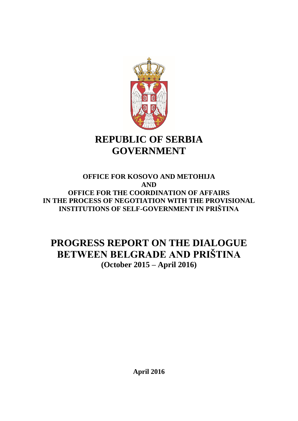

# **REPUBLIC OF SERBIA GOVERNMENT**

# **OFFICE FOR KOSOVO AND METOHIJA AND OFFICE FOR THE COORDINATION OF AFFAIRS IN THE PROCESS OF NEGOTIATION WITH THE PROVISIONAL INSTITUTIONS OF SELF-GOVERNMENT IN PRIŠTINA**

# **PROGRESS REPORT ON THE DIALOGUE BETWEEN BELGRADE AND PRIŠTINA (October 2015 – April 2016)**

**April 2016**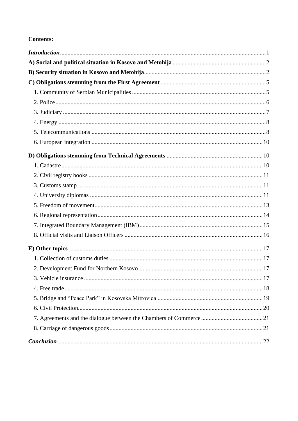# **Contents:**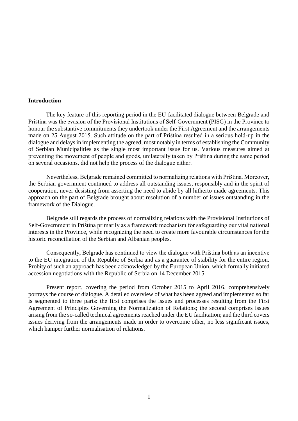#### <span id="page-2-0"></span>**Introduction**

The key feature of this reporting period in the EU-facilitated dialogue between Belgrade and Priština was the evasion of the Provisional Institutions of Self-Government (PISG) in the Province to honour the substantive commitments they undertook under the First Agreement and the arrangements made on 25 August 2015. Such attitude on the part of Priština resulted in a serious hold-up in the dialogue and delays in implementing the agreed, most notably in terms of establishing the Community of Serbian Municipalities as the single most important issue for us. Various measures aimed at preventing the movement of people and goods, unilaterally taken by Priština during the same period on several occasions, did not help the process of the dialogue either.

Nevertheless, Belgrade remained committed to normalizing relations with Priština. Moreover, the Serbian government continued to address all outstanding issues, responsibly and in the spirit of cooperation, never desisting from asserting the need to abide by all hitherto made agreements. This approach on the part of Belgrade brought about resolution of a number of issues outstanding in the framework of the Dialogue.

Belgrade still regards the process of normalizing relations with the Provisional Institutions of Self-Government in Priština primarily as a framework mechanism for safeguarding our vital national interests in the Province, while recognizing the need to create more favourable circumstances for the historic reconciliation of the Serbian and Albanian peoples.

Consequently, Belgrade has continued to view the dialogue with Priština both as an incentive to the EU integration of the Republic of Serbia and as a guarantee of stability for the entire region. Probity of such an approach has been acknowledged by the European Union, which formally initiated accession negotiations with the Republic of Serbia on 14 December 2015.

Present report, covering the period from October 2015 to April 2016, comprehensively portrays the course of dialogue. A detailed overview of what has been agreed and implemented so far is segmented to three parts: the first comprises the issues and processes resulting from the First Agreement of Principles Governing the Normalization of Relations; the second comprises issues arising from the so-called technical agreements reached under the EU facilitation; and the third covers issues deriving from the arrangements made in order to overcome other, no less significant issues, which hamper further normalisation of relations.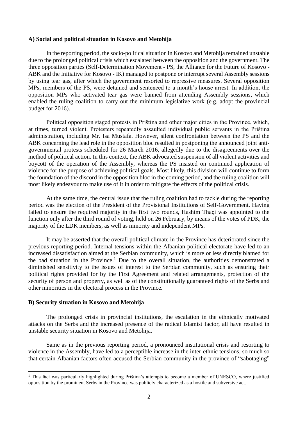#### <span id="page-3-0"></span>**A) Social and political situation in Kosovo and Metohija**

In the reporting period, the socio-political situation in Kosovo and Metohija remained unstable due to the prolonged political crisis which escalated between the opposition and the government. The three opposition parties (Self-Determination Movement - PS, the Alliance for the Future of Kosovo - ABK and the Initiative for Kosovo - IK) managed to postpone or interrupt several Assembly sessions by using tear gas, after which the government resorted to repressive measures. Several opposition MPs, members of the PS, were detained and sentenced to a month's house arrest. In addition, the opposition MPs who activated tear gas were banned from attending Assembly sessions, which enabled the ruling coalition to carry out the minimum legislative work (e.g. adopt the provincial budget for 2016).

Political opposition staged protests in Priština and other major cities in the Province, which, at times, turned violent. Protesters repeatedly assaulted individual public servants in the Priština administration, including Mr. Isa Mustafa. However, silent confrontation between the PS and the ABK concerning the lead role in the opposition bloc resulted in postponing the announced joint antigovernmental protests scheduled for 26 March 2016, allegedly due to the disagreements over the method of political action. In this context, the ABK advocated suspension of all violent activities and boycott of the operation of the Assembly, whereas the PS insisted on continued application of violence for the purpose of achieving political goals. Most likely, this division will continue to form the foundation of the discord in the opposition bloc in the coming period, and the ruling coalition will most likely endeavour to make use of it in order to mitigate the effects of the political crisis.

At the same time, the central issue that the ruling coalition had to tackle during the reporting period was the election of the President of the Provisional Institutions of Self-Government. Having failed to ensure the required majority in the first two rounds, Hashim Thaçi was appointed to the function only after the third round of voting, held on 26 February, by means of the votes of PDK, the majority of the LDK members, as well as minority and independent MPs.

It may be asserted that the overall political climate in the Province has deteriorated since the previous reporting period. Internal tensions within the Albanian political electorate have led to an increased dissatisfaction aimed at the Serbian community, which is more or less directly blamed for the bad situation in the Province. <sup>1</sup> Due to the overall situation, the authorities demonstrated a diminished sensitivity to the issues of interest to the Serbian community, such as ensuring their political rights provided for by the First Agreement and related arrangements, protection of the security of person and property, as well as of the constitutionally guaranteed rights of the Serbs and other minorities in the electoral process in the Province.

#### <span id="page-3-1"></span>**B) Security situation in Kosovo and Metohija**

1

The prolonged crisis in provincial institutions, the escalation in the ethnically motivated attacks on the Serbs and the increased presence of the radical Islamist factor, all have resulted in unstable security situation in Kosovo and Metohija.

Same as in the previous reporting period, a pronounced institutional crisis and resorting to violence in the Assembly, have led to a perceptible increase in the inter-ethnic tensions, so much so that certain Albanian factors often accused the Serbian community in the province of "sabotaging"

<sup>&</sup>lt;sup>1</sup> This fact was particularly highlighted during Priština's attempts to become a member of UNESCO, where justified opposition by the prominent Serbs in the Province was publicly characterized as a hostile and subversive act.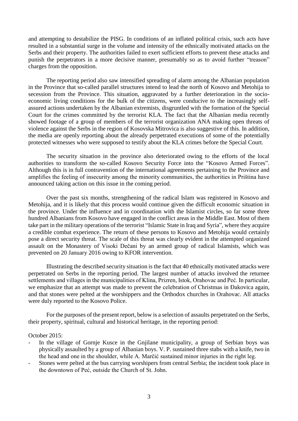and attempting to destabilize the PISG. In conditions of an inflated political crisis, such acts have resulted in a substantial surge in the volume and intensity of the ethnically motivated attacks on the Serbs and their property. The authorities failed to exert sufficient efforts to prevent these attacks and punish the perpetrators in a more decisive manner, presumably so as to avoid further "treason" charges from the opposition.

The reporting period also saw intensified spreading of alarm among the Albanian population in the Province that so-called parallel structures intend to lead the north of Kosovo and Metohija to secession from the Province. This situation, aggravated by a further deterioration in the socioeconomic living conditions for the bulk of the citizens, were conducive to the increasingly selfassured actions undertaken by the Albanian extremists, disgruntled with the formation of the Special Court for the crimes committed by the terrorist KLA. The fact that the Albanian media recently showed footage of a group of members of the terrorist organization ANA making open threats of violence against the Serbs in the region of Kosovska Mitrovica is also suggestive of this. In addition, the media are openly reporting about the already perpetrated executions of some of the potentially protected witnesses who were supposed to testify about the KLA crimes before the Special Court.

The security situation in the province also deteriorated owing to the efforts of the local authorities to transform the so-called Kosovo Security Force into the "Kosovo Armed Forces". Although this is in full contravention of the international agreements pertaining to the Province and amplifies the feeling of insecurity among the minority communities, the authorities in Priština have announced taking action on this issue in the coming period.

Over the past six months, strengthening of the radical Islam was registered in Kosovo and Metohija, and it is likely that this process would continue given the difficult economic situation in the province. Under the influence and in coordination with the Islamist circles, so far some three hundred Albanians from Kosovo have engaged in the conflict areas in the Middle East. Most of them take part in the military operations of the terrorist "Islamic State in Iraq and Syria", where they acquire a credible combat experience. The return of these persons to Kosovo and Metohija would certainly pose a direct security threat. The scale of this threat was clearly evident in the attempted organized assault on the Monastery of Visoki Dečani by an armed group of radical Islamists, which was prevented on 20 January 2016 owing to KFOR intervention.

Illustrating the described security situation is the fact that 40 ethnically motivated attacks were perpetrated on Serbs in the reporting period. The largest number of attacks involved the returnee settlements and villages in the municipalities of Klina, Prizren, Istok, Orahovac and Peć. In particular, we emphasize that an attempt was made to prevent the celebration of Christmas in Đakovica again, and that stones were pelted at the worshippers and the Orthodox churches in Orahovac. All attacks were duly reported to the Kosovo Police.

For the purposes of the present report, below is a selection of assaults perpetrated on the Serbs, their property, spiritual, cultural and historical heritage, in the reporting period:

# October 2015:

- In the village of Gornje Kusce in the Gnjilane municipality, a group of Serbian boys was physically assaulted by a group of Albanian boys. V. P. sustained three stabs with a knife, two in the head and one in the shoulder, while A. Marčić sustained minor injuries in the right leg.
- Stones were pelted at the bus carrying worshipers from central Serbia; the incident took place in the downtown of Peć, outside the Church of St. John.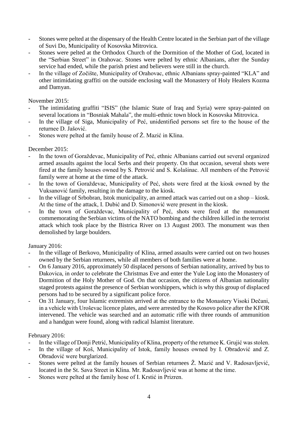- Stones were pelted at the dispensary of the Health Centre located in the Serbian part of the village of Suvi Do, Municipality of Kosovska Mitrovica.
- Stones were pelted at the Orthodox Church of the Dormition of the Mother of God, located in the "Serbian Street" in Orahovac. Stones were pelted by ethnic Albanians, after the Sunday service had ended, while the parish priest and believers were still in the church.
- In the village of Zočište, Municipality of Orahovac, ethnic Albanians spray-painted "KLA" and other intimidating graffiti on the outside enclosing wall the Monastery of Holy Healers Kozma and Damyan.

# November 2015:

- The intimidating graffiti "ISIS" (the Islamic State of Iraq and Syria) were spray-painted on several locations in "Bosniak Mahala", the multi-ethnic town block in Kosovska Mitrovica.
- In the village of Siga, Municipality of Peć, unidentified persons set fire to the house of the returnee D. Jašović.
- Stones were pelted at the family house of Ž. Mazić in Klina.

# December 2015:

- In the town of Goraždevac, Municipality of Peć, ethnic Albanians carried out several organized armed assaults against the local Serbs and their property. On that occasion, several shots were fired at the family houses owned by S. Petrović and S. Kolašinac. All members of the Petrović family were at home at the time of the attack.
- In the town of Goraždevac, Municipality of Peć, shots were fired at the kiosk owned by the Vuksanović family, resulting in the damage to the kiosk.
- In the village of Srbobran, Istok municipality, an armed attack was carried out on a shop kiosk. At the time of the attack, I. Dubić and D. Simonović were present in the kiosk.
- In the town of Goraždevac, Municipality of Peć, shots were fired at the monument commemorating the Serbian victims of the NATO bombing and the children killed in the terrorist attack which took place by the Bistrica River on 13 August 2003. The monument was then demolished by large boulders.

# January 2016:

- In the village of Berkovo, Municipality of Klina, armed assaults were carried out on two houses owned by the Serbian returnees, while all members of both families were at home.
- On 6 January 2016, approximately 50 displaced persons of Serbian nationality, arrived by bus to Đakovica, in order to celebrate the Christmas Eve and enter the Yule Log into the Monastery of Dormition of the Holy Mother of God. On that occasion, the citizens of Albanian nationality staged protests against the presence of Serbian worshippers, which is why this group of displaced persons had to be secured by a significant police force.
- On 31 January, four Islamic extremists arrived at the entrance to the Monastery Visoki Dečani, in a vehicle with Uroševac licence plates, and were arrested by the Kosovo police after the KFOR intervened. The vehicle was searched and an automatic rifle with three rounds of ammunition and a handgun were found, along with radical Islamist literature.

# February 2016:

- In the village of Donji Petrić, Municipality of Klina, property of the returnee K. Grujić was stolen.
- In the village of Koš, Municipality of Istok, family houses owned by I. Obradović and Z. Obradović were burglarized.
- Stones were pelted at the family houses of Serbian returnees Ž. Mazić and V. Radosavljević, located in the St. Sava Street in Klina. Mr. Radosavljević was at home at the time.
- Stones were pelted at the family hose of I. Krstić in Prizren.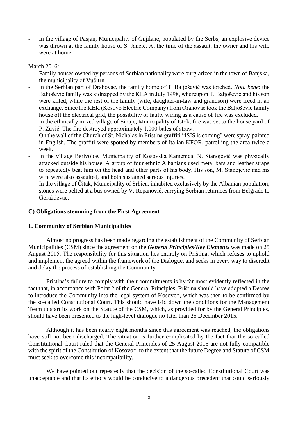- In the village of Pasjan, Municipality of Gnjilane, populated by the Serbs, an explosive device was thrown at the family house of S. Jancić. At the time of the assault, the owner and his wife were at home.

March 2016:

- Family houses owned by persons of Serbian nationality were burglarized in the town of Banjska, the municipality of Vučitrn.
- In the Serbian part of Orahovac, the family home of T. Baljošević was torched. *Nota bene*: the Baljošević family was kidnapped by the KLA in July 1998, whereupon T. Baljošević and his son were killed, while the rest of the family (wife, daughter-in-law and grandson) were freed in an exchange. Since the KEK (Kosovo Electric Company) from Orahovac took the Baljošević family house off the electrical grid, the possibility of faulty wiring as a cause of fire was excluded.
- In the ethnically mixed village of Sinaje, Municipality of Istok, fire was set to the house yard of P. Zuvić. The fire destroyed approximately 1,000 bales of straw.
- On the wall of the Church of St. Nicholas in Priština graffiti "ISIS is coming" were spray-painted in English. The graffiti were spotted by members of Italian KFOR, patrolling the area twice a week.
- In the village Berivojce, Municipality of Kosovska Kamenica, N. Stanojević was physically attacked outside his house. A group of four ethnic Albanians used metal bars and leather straps to repeatedly beat him on the head and other parts of his body. His son, M. Stanojević and his wife were also assaulted, and both sustained serious injuries.
- In the village of Čitak, Municipality of Srbica, inhabited exclusively by the Albanian population, stones were pelted at a bus owned by V. Repanović, carrying Serbian returnees from Belgrade to Goraždevac.

# <span id="page-6-0"></span>**C) Obligations stemming from the First Agreement**

# <span id="page-6-1"></span>**1. Community of Serbian Municipalities**

Almost no progress has been made regarding the establishment of the Community of Serbian Municipalities (CSM) since the agreement on the *General Principles/Key Elements* was made on 25 August 2015. The responsibility for this situation lies entirely on Priština, which refuses to uphold and implement the agreed within the framework of the Dialogue, and seeks in every way to discredit and delay the process of establishing the Community.

Priština's failure to comply with their commitments is by far most evidently reflected in the fact that, in accordance with Point 2 of the General Principles, Priština should have adopted a Decree to introduce the Community into the legal system of Kosovo\*, which was then to be confirmed by the so-called Constitutional Court. This should have laid down the conditions for the Management Team to start its work on the Statute of the CSM, which, as provided for by the General Principles, should have been presented to the high-level dialogue no later than 25 December 2015.

Although it has been nearly eight months since this agreement was reached, the obligations have still not been discharged. The situation is further complicated by the fact that the so-called Constitutional Court ruled that the General Principles of 25 August 2015 are not fully compatible with the spirit of the Constitution of Kosovo\*, to the extent that the future Degree and Statute of CSM must seek to overcome this incompatibility.

We have pointed out repeatedly that the decision of the so-called Constitutional Court was unacceptable and that its effects would be conducive to a dangerous precedent that could seriously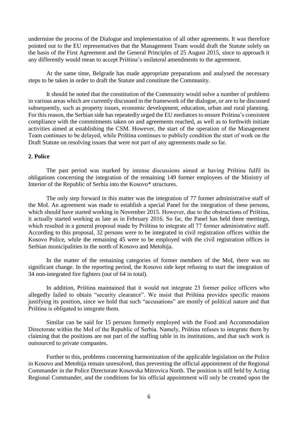undermine the process of the Dialogue and implementation of all other agreements. It was therefore pointed out to the EU representatives that the Management Team would draft the Statute solely on the basis of the First Agreement and the General Principles of 25 August 2015, since to approach it any differently would mean to accept Priština's unilateral amendments to the agreement.

At the same time, Belgrade has made appropriate preparations and analysed the necessary steps to be taken in order to draft the Statute and constitute the Community.

It should be noted that the constitution of the Community would solve a number of problems in various areas which are currently discussed in the framework of the dialogue, or are to be discussed subsequently, such as property issues, economic development, education, urban and rural planning. For this reason, the Serbian side has repeatedly urged the EU mediators to ensure Priština's consistent compliance with the commitments taken on and agreements reached, as well as to forthwith initiate activities aimed at establishing the CSM. However, the start of the operation of the Management Team continues to be delayed, while Priština continues to publicly condition the start of work on the Draft Statute on resolving issues that were not part of any agreements made so far.

# <span id="page-7-0"></span>**2. Police**

The past period was marked by intense discussions aimed at having Priština fulfil its obligations concerning the integration of the remaining 149 former employees of the Ministry of Interior of the Republic of Serbia into the Kosovo\* structures.

The only step forward in this matter was the integration of 77 former administrative staff of the MoI. An agreement was made to establish a special Panel for the integration of these persons, which should have started working in November 2015. However, due to the obstructions of Priština, it actually started working as late as in February 2016. So far, the Panel has held three meetings, which resulted in a general proposal made by Priština to integrate all 77 former administrative staff. According to this proposal, 32 persons were to be integrated in civil registration offices within the Kosovo Police, while the remaining 45 were to be employed with the civil registration offices in Serbian municipalities in the north of Kosovo and Metohija.

In the matter of the remaining categories of former members of the MoI, there was no significant change. In the reporting period, the Kosovo side kept refusing to start the integration of 34 non-integrated fire fighters (out of 64 in total).

In addition, Priština maintained that it would not integrate 23 former police officers who allegedly failed to obtain "security clearance". We insist that Priština provides specific reasons justifying its position, since we hold that such "accusations" are mostly of political nature and that Priština is obligated to integrate them.

Similar can be said for 15 persons formerly employed with the Food and Accommodation Directorate within the MoI of the Republic of Serbia. Namely, Priština refuses to integrate them by claiming that the positions are not part of the staffing table in its institutions, and that such work is outsourced to private companies.

Further to this, problems concerning harmonization of the applicable legislation on the Police in Kosovo and Metohija remain unresolved, thus preventing the official appointment of the Regional Commander in the Police Directorate Kosovska Mitrovica North. The position is still held by Acting Regional Commander, and the conditions for his official appointment will only be created upon the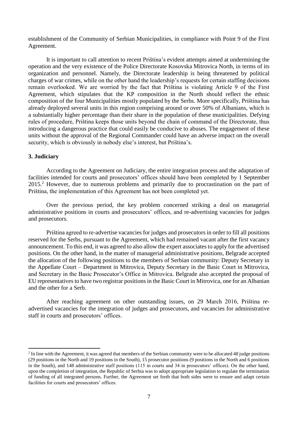establishment of the Community of Serbian Municipalities, in compliance with Point 9 of the First Agreement.

It is important to call attention to recent Priština's evident attempts aimed at undermining the operation and the very existence of the Police Directorate Kosovska Mitrovica North, in terms of its organization and personnel. Namely, the Directorate leadership is being threatened by political charges of war crimes, while on the other hand the leadership's requests for certain staffing decisions remain overlooked. We are worried by the fact that Priština is violating Article 9 of the First Agreement, which stipulates that the KP composition in the North should reflect the ethnic composition of the four Municipalities mostly populated by the Serbs. More specifically, Priština has already deployed several units in this region comprising around or over 50% of Albanians, which is a substantially higher percentage than their share in the population of these municipalities. Defying rules of procedure, Priština keeps those units beyond the chain of command of the Directorate, thus introducing a dangerous practice that could easily be conducive to abuses. The engagement of these units without the approval of the Regional Commander could have an adverse impact on the overall security, which is obviously in nobody else's interest, but Priština's.

# <span id="page-8-0"></span>**3. Judiciary**

-

According to the Agreement on Judiciary, the entire integration process and the adaptation of facilities intended for courts and prosecutors' offices should have been completed by 1 September 2015.<sup>2</sup> However, due to numerous problems and primarily due to procrastination on the part of Priština, the implementation of this Agreement has not been completed yet.

Over the previous period, the key problem concerned striking a deal on managerial administrative positions in courts and prosecutors' offices, and re-advertising vacancies for judges and prosecutors.

Priština agreed to re-advertise vacancies for judges and prosecutors in order to fill all positions reserved for the Serbs, pursuant to the Agreement, which had remained vacant after the first vacancy announcement. To this end, it was agreed to also allow the expert associates to apply for the advertised positions. On the other hand, in the matter of managerial administrative positions, Belgrade accepted the allocation of the following positions to the members of Serbian community: Deputy Secretary in the Appellate Court – Department in Mitrovica, Deputy Secretary in the Basic Court in Mitrovica, and Secretary in the Basic Prosecutor's Office in Mitrovica. Belgrade also accepted the proposal of EU representatives to have two registrar positions in the Basic Court in Mitrovica, one for an Albanian and the other for a Serb.

After reaching agreement on other outstanding issues, on 29 March 2016, Priština readvertised vacancies for the integration of judges and prosecutors, and vacancies for administrative staff in courts and prosecutors' offices.

<sup>&</sup>lt;sup>2</sup> In line with the Agreement, it was agreed that members of the Serbian community were to be allocated 48 judge positions (29 positions in the North and 19 positions in the South), 15 prosecutor positions (9 positions in the North and 6 positions in the South), and 148 administrative staff positions (115 in courts and 34 in prosecutors' offices). On the other hand, upon the completion of integration, the Republic of Serbia was to adopt appropriate legislation to regulate the termination of funding of all integrated persons. Further, the Agreement set forth that both sides were to ensure and adapt certain facilities for courts and prosecutors' offices.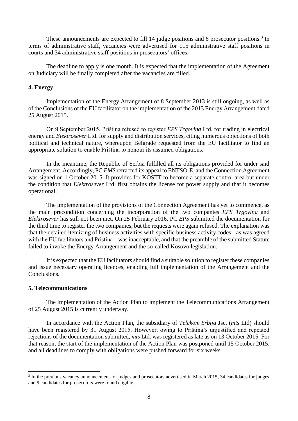These announcements are expected to fill 14 judge positions and 6 prosecutor positions.<sup>3</sup> In terms of administrative staff, vacancies were advertised for 115 administrative staff positions in courts and 34 administrative staff positions in prosecutors' offices.

The deadline to apply is one month. It is expected that the implementation of the Agreement on Judiciary will be finally completed after the vacancies are filled.

#### <span id="page-9-0"></span>**4. Energy**

Implementation of the Energy Arrangement of 8 September 2013 is still ongoing, as well as of the Conclusions of the EU facilitator on the implementation of the 2013 Energy Arrangement dated 25 August 2015.

On 9 September 2015, Priština refused to register *EPS Trgovina* Ltd. for trading in electrical energy and *Elektrosever* Ltd. for supply and distribution services, citing numerous objections of both political and technical nature, whereupon Belgrade requested from the EU facilitator to find an appropriate solution to enable Priština to honour its assumed obligations.

In the meantime, the Republic of Serbia fulfilled all its obligations provided for under said Arrangement. Accordingly, PC *EMS* retracted its appeal to ENTSO-E, and the Connection Agreement was signed on 1 October 2015. It provides for KOSTT to become a separate control area but under the condition that *Elektrosever* Ltd. first obtains the license for power supply and that it becomes operational.

The implementation of the provisions of the Connection Agreement has yet to commence, as the main precondition concerning the incorporation of the two companies *EPS Trgovina* and *Elektrosever* has still not been met. On 25 February 2016, PC *EPS* submitted the documentation for the third time to register the two companies, but the requests were again refused. The explanation was that the detailed itemizing of business activities with specific business activity codes - as was agreed with the EU facilitators and Priština – was inacceptable, and that the preamble of the submitted Statute failed to invoke the Energy Arrangement and the so-called Kosovo legislation.

It is expected that the EU facilitators should find a suitable solution to register these companies and issue necessary operating licences, enabling full implementation of the Arrangement and the Conclusions.

#### <span id="page-9-1"></span>**5. Telecommunications**

1

The implementation of the Action Plan to implement the Telecommunications Arrangement of 25 August 2015 is currently underway.

In accordance with the Action Plan, the subsidiary of *Telekom Srbija* Jsc. (*mts* Ltd) should have been registered by 31 August 2015. However, owing to Priština's unjustified and repeated rejections of the documentation submitted, *mts* Ltd. was registered as late as on 13 October 2015. For that reason, the start of the implementation of the Action Plan was postponed until 15 October 2015, and all deadlines to comply with obligations were pushed forward for six weeks.

<sup>&</sup>lt;sup>3</sup> In the previous vacancy announcement for judges and prosecutors advertised in March 2015, 34 candidates for judges and 9 candidates for prosecutors were found eligible.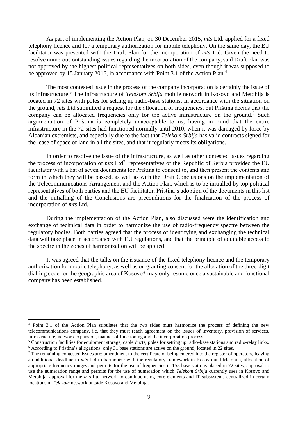As part of implementing the Action Plan, on 30 December 2015, *mts* Ltd. applied for a fixed telephony licence and for a temporary authorization for mobile telephony. On the same day, the EU facilitator was presented with the Draft Plan for the incorporation of *mts* Ltd. Given the need to resolve numerous outstanding issues regarding the incorporation of the company, said Draft Plan was not approved by the highest political representatives on both sides, even though it was supposed to be approved by 15 January 2016, in accordance with Point 3.1 of the Action Plan.<sup>4</sup>

The most contested issue in the process of the company incorporation is certainly the issue of its infrastructure.<sup>5</sup> The infrastructure of *Telekom Srbija* mobile network in Kosovo and Metohija is located in 72 sites with poles for setting up radio-base stations. In accordance with the situation on the ground, *mts* Ltd submitted a request for the allocation of frequencies, but Priština deems that the company can be allocated frequencies only for the active infrastructure on the ground.<sup>6</sup> Such argumentation of Priština is completely unacceptable to us, having in mind that the entire infrastructure in the 72 sites had functioned normally until 2010, when it was damaged by force by Albanian extremists, and especially due to the fact that *Telekom Srbija* has valid contracts signed for the lease of space or land in all the sites, and that it regularly meets its obligations.

In order to resolve the issue of the infrastructure, as well as other contested issues regarding the process of incorporation of *mts* Ltd<sup>7</sup>, representatives of the Republic of Serbia provided the EU facilitator with a list of seven documents for Priština to consent to, and then present the contents and form in which they will be passed, as well as with the Draft Conclusions on the implementation of the Telecommunications Arrangement and the Action Plan, which is to be initialled by top political representatives of both parties and the EU facilitator. Priština's adoption of the documents in this list and the initialling of the Conclusions are preconditions for the finalization of the process of incorporation of *mts* Ltd.

During the implementation of the Action Plan, also discussed were the identification and exchange of technical data in order to harmonize the use of radio-frequency spectre between the regulatory bodies. Both parties agreed that the process of identifying and exchanging the technical data will take place in accordance with EU regulations, and that the principle of equitable access to the spectre in the zones of harmonization will be applied.

It was agreed that the talks on the issuance of the fixed telephony licence and the temporary authorization for mobile telephony, as well as on granting consent for the allocation of the three-digit dialling code for the geographic area of Kosovo\* may only resume once a sustainable and functional company has been established.

1

<sup>&</sup>lt;sup>4</sup> Point 3.1 of the Action Plan stipulates that the two sides must harmonize the process of defining the new telecommunications company, i.e. that they must reach agreement on the issues of inventory, provision of services, infrastructure, network expansion, manner of functioning and the incorporation process.

<sup>&</sup>lt;sup>5</sup> Construction facilities for equipment storage, cable ducts, poles for setting up radio-base stations and radio-relay links. <sup>6</sup> According to Priština's allegations, only 31 base stations are active on the ground, located in 22 sites.

 $<sup>7</sup>$  The remaining contested issues are: amendment to the certificate of being entered into the register of operators, leaving</sup> an additional deadline to *mts* Ltd to harmonize with the regulatory framework in Kosovo and Metohija, allocation of appropriate frequency ranges and permits for the use of frequencies in 158 base stations placed in 72 sites, approval to use the numeration range and permits for the use of numeration which *Telekom Srbija* currently uses in Kosovo and Metohija, approval for the *mts* Ltd network to continue using core elements and IT subsystems centralized in certain locations in *Telekom* network outside Kosovo and Metohija.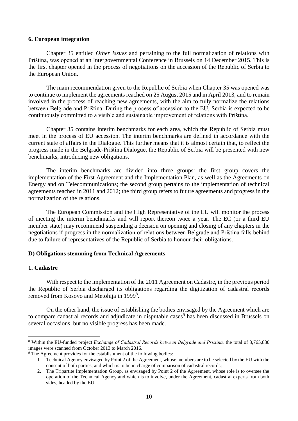#### <span id="page-11-0"></span>**6. European integration**

Chapter 35 entitled *Other Issues* and pertaining to the full normalization of relations with Priština, was opened at an Intergovernmental Conference in Brussels on 14 December 2015. This is the first chapter opened in the process of negotiations on the accession of the Republic of Serbia to the European Union.

The main recommendation given to the Republic of Serbia when Chapter 35 was opened was to continue to implement the agreements reached on 25 August 2015 and in April 2013, and to remain involved in the process of reaching new agreements, with the aim to fully normalize the relations between Belgrade and Priština. During the process of accession to the EU, Serbia is expected to be continuously committed to a visible and sustainable improvement of relations with Priština.

Chapter 35 contains interim benchmarks for each area, which the Republic of Serbia must meet in the process of EU accession. The interim benchmarks are defined in accordance with the current state of affairs in the Dialogue. This further means that it is almost certain that, to reflect the progress made in the Belgrade-Priština Dialogue, the Republic of Serbia will be presented with new benchmarks, introducing new obligations.

The interim benchmarks are divided into three groups: the first group covers the implementation of the First Agreement and the Implementation Plan, as well as the Agreements on Energy and on Telecommunications; the second group pertains to the implementation of technical agreements reached in 2011 and 2012; the third group refers to future agreements and progress in the normalization of the relations.

The European Commission and the High Representative of the EU will monitor the process of meeting the interim benchmarks and will report thereon twice a year. The EC (or a third EU member state) may recommend suspending a decision on opening and closing of any chapters in the negotiations if progress in the normalization of relations between Belgrade and Priština falls behind due to failure of representatives of the Republic of Serbia to honour their obligations.

# <span id="page-11-1"></span>**D) Obligations stemming from Technical Agreements**

# <span id="page-11-2"></span>**1. Cadastre**

1

With respect to the implementation of the 2011 Agreement on Cadastre, in the previous period the Republic of Serbia discharged its obligations regarding the digitization of cadastral records removed from Kosovo and Metohija in 1999<sup>8</sup>.

On the other hand, the issue of establishing the bodies envisaged by the Agreement which are to compare cadastral records and adjudicate in disputable cases<sup>9</sup> has been discussed in Brussels on several occasions, but no visible progress has been made.

<sup>8</sup> Within the EU-funded project *Exchange of Cadastral Records between Belgrade and Priština,* the total of 3,765,830 images were scanned from October 2013 to March 2016.

<sup>&</sup>lt;sup>9</sup> The Agreement provides for the establishment of the following bodies:

<sup>1.</sup> Technical Agency envisaged by Point 2 of the Agreement, whose members are to be selected by the EU with the consent of both parties, and which is to be in charge of comparison of cadastral records;

<sup>2.</sup> The Tripartite Implementation Group, as envisaged by Point 2 of the Agreement, whose role is to oversee the operation of the Technical Agency and which is to involve, under the Agreement, cadastral experts from both sides, headed by the EU;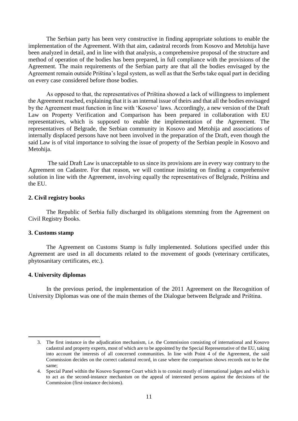The Serbian party has been very constructive in finding appropriate solutions to enable the implementation of the Agreement. With that aim, cadastral records from Kosovo and Metohija have been analyzed in detail, and in line with that analysis, a comprehensive proposal of the structure and method of operation of the bodies has been prepared, in full compliance with the provisions of the Agreement. The main requirements of the Serbian party are that all the bodies envisaged by the Agreement remain outside Priština's legal system, as well as that the Serbs take equal part in deciding on every case considered before those bodies.

As opposed to that, the representatives of Priština showed a lack of willingness to implement the Agreement reached, explaining that it is an internal issue of theirs and that all the bodies envisaged by the Agreement must function in line with 'Kosovo' laws. Accordingly, a new version of the Draft Law on Property Verification and Comparison has been prepared in collaboration with EU representatives, which is supposed to enable the implementation of the Agreement. The representatives of Belgrade, the Serbian community in Kosovo and Metohija and associations of internally displaced persons have not been involved in the preparation of the Draft, even though the said Law is of vital importance to solving the issue of property of the Serbian people in Kosovo and Metohija.

The said Draft Law is unacceptable to us since its provisions are in every way contrary to the Agreement on Cadastre. For that reason, we will continue insisting on finding a comprehensive solution in line with the Agreement, involving equally the representatives of Belgrade, Priština and the EU.

# <span id="page-12-0"></span>**2. Civil registry books**

The Republic of Serbia fully discharged its obligations stemming from the Agreement on Civil Registry Books.

#### <span id="page-12-1"></span>**3. Customs stamp**

The Agreement on Customs Stamp is fully implemented. Solutions specified under this Agreement are used in all documents related to the movement of goods (veterinary certificates, phytosanitary certificates, etc.).

# <span id="page-12-2"></span>**4. University diplomas**

1

In the previous period, the implementation of the 2011 Agreement on the Recognition of University Diplomas was one of the main themes of the Dialogue between Belgrade and Priština.

<sup>3.</sup> The first instance in the adjudication mechanism, i.e. the Commission consisting of international and Kosovo cadastral and property experts, most of which are to be appointed by the Special Representative of the EU, taking into account the interests of all concerned communities. In line with Point 4 of the Agreement, the said Commission decides on the correct cadastral record, in case where the comparison shows records not to be the same;

<sup>4.</sup> Special Panel within the Kosovo Supreme Court which is to consist mostly of international judges and which is to act as the second-instance mechanism on the appeal of interested persons against the decisions of the Commission (first-instance decisions).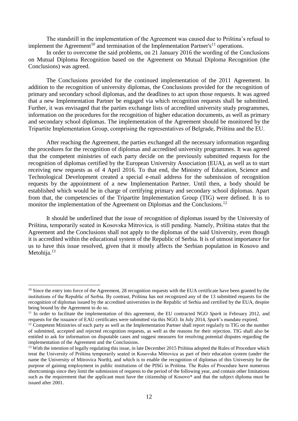The standstill in the implementation of the Agreement was caused due to Priština's refusal to implement the Agreement<sup>10</sup> and termination of the Implementation Partner's<sup>11</sup> operations.

In order to overcome the said problems, on 21 January 2016 the wording of the Conclusions on Mutual Diploma Recognition based on the Agreement on Mutual Diploma Recognition (the Conclusions) was agreed.

The Conclusions provided for the continued implementation of the 2011 Agreement. In addition to the recognition of university diplomas, the Conclusions provided for the recognition of primary and secondary school diplomas, and the deadlines to act upon those requests. It was agreed that a new Implementation Partner be engaged via which recognition requests shall be submitted. Further, it was envisaged that the parties exchange lists of accredited university study programmes, information on the procedures for the recognition of higher education documents, as well as primary and secondary school diplomas. The implementation of the Agreement should be monitored by the Tripartite Implementation Group, comprising the representatives of Belgrade, Priština and the EU.

After reaching the Agreement, the parties exchanged all the necessary information regarding the procedures for the recognition of diplomas and accredited university programmes. It was agreed that the competent ministries of each party decide on the previously submitted requests for the recognition of diplomas certified by the European University Association (EUA), as well as to start receiving new requests as of 4 April 2016. To that end, the Ministry of Education, Science and Technological Development created a special e-mail address for the submission of recognition requests by the appointment of a new Implementation Partner. Until then, a body should be established which would be in charge of certifying primary and secondary school diplomas. Apart from that, the competencies of the Tripartite Implementation Group (TIG) were defined. It is to monitor the implementation of the Agreement on Diplomas and the Conclusions.<sup>12</sup>

It should be underlined that the issue of recognition of diplomas issued by the University of Priština, temporarily seated in Kosovska Mitrovica, is still pending. Namely, Priština states that the Agreement and the Conclusions shall not apply to the diplomas of the said University, even though it is accredited within the educational system of the Republic of Serbia. It is of utmost importance for us to have this issue resolved, given that it mostly affects the Serbian population in Kosovo and Metohija.<sup>13</sup>

-

 $10$  Since the entry into force of the Agreement, 28 recognition requests with the EUA certificate have been granted by the institutions of the Republic of Serbia. By contrast, Priština has not recognized any of the 13 submitted requests for the recognition of diplomas issued by the accredited universities in the Republic of Serbia and certified by the EUA, despite being bound by the Agreement to do so.

<sup>&</sup>lt;sup>11</sup> In order to facilitate the implementation of this agreement, the EU contracted NGO *Spark* in February 2012, and requests for the issuance of EAU certificates were submitted via this NGO. In July 2014, *Spark*'s mandate expired.

 $12$  Competent Ministries of each party as well as the Implementation Partner shall report regularly to TIG on the number of submitted, accepted and rejected recognition requests, as well as the reasons for their rejection. TIG shall also be entitled to ask for information on disputable cases and suggest measures for resolving potential disputes regarding the implementation of the Agreement and the Conclusions.

<sup>&</sup>lt;sup>13</sup> With the intention of legally regulating this issue, in late December 2015 Priština adopted the Rules of Procedure which treat the University of Priština temporarily seated in Kosovska Mitrovica as part of their education system (under the name the University of Mitrovica North), and which is to enable the recognition of diplomas of this University for the purpose of gaining employment in public institutions of the PISG in Priština. The Rules of Procedure have numerous shortcomings since they limit the submission of requests to the period of the following year, and contain other limitations such as the requirement that the applicant must have the citizenship of Kosovo\* and that the subject diploma must be issued after 2001.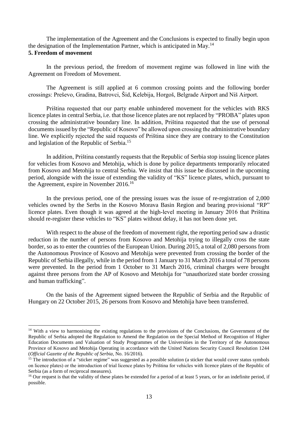<span id="page-14-0"></span>The implementation of the Agreement and the Conclusions is expected to finally begin upon the designation of the Implementation Partner, which is anticipated in May.<sup>14</sup> **5. Freedom of movement**

In the previous period, the freedom of movement regime was followed in line with the Agreement on Freedom of Movement.

The Agreement is still applied at 6 common crossing points and the following border crossings: Preševo, Gradina, Batrovci, Šid, Kelebija, Horgoš, Belgrade Airport and Niš Airport.

Priština requested that our party enable unhindered movement for the vehicles with RKS licence plates in central Serbia, i.e. that those licence plates are not replaced by "PROBA" plates upon crossing the administrative boundary line. In addition, Priština requested that the use of personal documents issued by the "Republic of Kosovo" be allowed upon crossing the administrative boundary line. We explicitly rejected the said requests of Priština since they are contrary to the Constitution and legislation of the Republic of Serbia.<sup>15</sup>

In addition, Priština constantly requests that the Republic of Serbia stop issuing licence plates for vehicles from Kosovo and Metohija, which is done by police departments temporarily relocated from Kosovo and Metohija to central Serbia. We insist that this issue be discussed in the upcoming period, alongside with the issue of extending the validity of "KS" licence plates, which, pursuant to the Agreement, expire in November 2016.<sup>16</sup>

In the previous period, one of the pressing issues was the issue of re-registration of 2,000 vehicles owned by the Serbs in the Kosovo Morava Basin Region and bearing provisional "RP" licence plates. Even though it was agreed at the high-level meeting in January 2016 that Priština should re-register these vehicles to "KS" plates without delay, it has not been done yet.

With respect to the abuse of the freedom of movement right, the reporting period saw a drastic reduction in the number of persons from Kosovo and Metohija trying to illegally cross the state border, so as to enter the countries of the European Union. During 2015, a total of 2,080 persons from the Autonomous Province of Kosovo and Metohija were prevented from crossing the border of the Republic of Serbia illegally, while in the period from 1 January to 31 March 2016 a total of 78 persons were prevented. In the period from 1 October to 31 March 2016, criminal charges were brought against three persons from the AP of Kosovo and Metohija for "unauthorized state border crossing and human trafficking".

On the basis of the Agreement signed between the Republic of Serbia and the Republic of Hungary on 22 October 2015, 26 persons from Kosovo and Metohija have been transferred.

1

<sup>&</sup>lt;sup>14</sup> With a view to harmonising the existing regulations to the provisions of the Conclusions, the Government of the Republic of Serbia adopted the Regulation to Amend the Regulation on the Special Method of Recognition of Higher Education Documents and Valuation of Study Programmes of the Universities in the Territory of the Autonomous Province of Kosovo and Metohija Operating in accordance with the United Nations Security Council Resolution 1244 (*Official Gazette of the Republic of Serbia*, No. 16/2016).

 $15$  The introduction of a "sticker regime" was suggested as a possible solution (a sticker that would cover status symbols on licence plates) or the introduction of trial licence plates by Priština for vehicles with licence plates of the Republic of Serbia (as a form of reciprocal measures).

<sup>&</sup>lt;sup>16</sup> Our request is that the validity of these plates be extended for a period of at least 5 years, or for an indefinite period, if possible.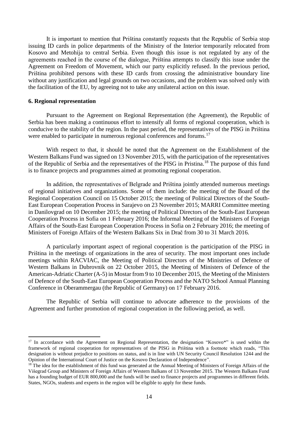It is important to mention that Priština constantly requests that the Republic of Serbia stop issuing ID cards in police departments of the Ministry of the Interior temporarily relocated from Kosovo and Metohija to central Serbia. Even though this issue is not regulated by any of the agreements reached in the course of the dialogue, Priština attempts to classify this issue under the Agreement on Freedom of Movement, which our party explicitly refused. In the previous period, Priština prohibited persons with these ID cards from crossing the administrative boundary line without any justification and legal grounds on two occasions, and the problem was solved only with the facilitation of the EU, by agreeing not to take any unilateral action on this issue.

#### <span id="page-15-0"></span>**6. Regional representation**

1

Pursuant to the Agreement on Regional Representation (the Agreement), the Republic of Serbia has been making a continuous effort to intensify all forms of regional cooperation, which is conducive to the stability of the region. In the past period, the representatives of the PISG in Priština were enabled to participate in numerous regional conferences and forums.<sup>17</sup>

With respect to that, it should be noted that the Agreement on the Establishment of the Western Balkans Fund was signed on 13 November 2015, with the participation of the representatives of the Republic of Serbia and the representatives of the PISG in Pristina.<sup>18</sup> The purpose of this fund is to finance projects and programmes aimed at promoting regional cooperation.

In addition, the representatives of Belgrade and Priština jointly attended numerous meetings of regional initiatives and organizations. Some of them include: the meeting of the Board of the Regional Cooperation Council on 15 October 2015; the meeting of Political Directors of the South-East European Cooperation Process in Sarajevo on 23 November 2015; MARRI Committee meeting in Danilovgrad on 10 December 2015; the meeting of Political Directors of the South-East European Cooperation Process in Sofia on 1 February 2016; the Informal Meeting of the Ministers of Foreign Affairs of the South-East European Cooperation Process in Sofia on 2 February 2016; the meeting of Ministers of Foreign Affairs of the Western Balkans Six in Drač from 30 to 31 March 2016.

A particularly important aspect of regional cooperation is the participation of the PISG in Priština in the meetings of organizations in the area of security. The most important ones include meetings within RACVIAC, the Meeting of Political Directors of the Ministries of Defence of Western Balkans in Dubrovnik on 22 October 2015, the Meeting of Ministers of Defence of the American-Adriatic Charter (A-5) in Mostar from 9 to 10 December 2015, the Meeting of the Ministers of Defence of the South-East European Cooperation Process and the NATO School Annual Planning Conference in Oberammergau (the Republic of Germany) on 17 February 2016.

The Republic of Serbia will continue to advocate adherence to the provisions of the Agreement and further promotion of regional cooperation in the following period, as well.

<sup>&</sup>lt;sup>17</sup> In accordance with the Agreement on Regional Representation, the designation "Kosovo\*" is used within the framework of regional cooperation for representatives of the PISG in Priština with a footnote which reads, "This designation is without prejudice to positions on status, and is in line with UN Security Council Resolution 1244 and the Opinion of the International Court of Justice on the Kosovo Declaration of Independence".

 $18$ <sup>18</sup> The idea for the establishment of this fund was generated at the Annual Meeting of Ministers of Foreign Affairs of the Višegrad Group and Ministers of Foreign Affairs of Western Balkans of 13 November 2015. The Western Balkans Fund has a founding budget of EUR 800,000 and the funds will be used to finance projects and programmes in different fields. States, NGOs, students and experts in the region will be eligible to apply for these funds.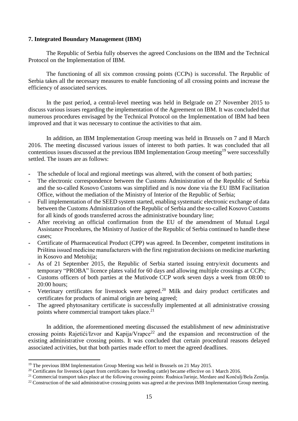# <span id="page-16-0"></span>**7. Integrated Boundary Management (IBM)**

The Republic of Serbia fully observes the agreed Conclusions on the IBM and the Technical Protocol on the Implementation of IBM.

The functioning of all six common crossing points (CCPs) is successful. The Republic of Serbia takes all the necessary measures to enable functioning of all crossing points and increase the efficiency of associated services.

In the past period, a central-level meeting was held in Belgrade on 27 November 2015 to discuss various issues regarding the implementation of the Agreement on IBM. It was concluded that numerous procedures envisaged by the Technical Protocol on the Implementation of IBM had been improved and that it was necessary to continue the activities to that aim.

In addition, an IBM Implementation Group meeting was held in Brussels on 7 and 8 March 2016. The meeting discussed various issues of interest to both parties. It was concluded that all contentious issues discussed at the previous IBM Implementation Group meeting<sup>19</sup> were successfully settled. The issues are as follows:

- **-** The schedule of local and regional meetings was altered, with the consent of both parties;
- **-** The electronic correspondence between the Customs Administration of the Republic of Serbia and the so-called Kosovo Customs was simplified and is now done via the EU IBM Facilitation Office, without the mediation of the Ministry of Interior of the Republic of Serbia;
- **-** Full implementation of the SEED system started, enabling systematic electronic exchange of data between the Customs Administration of the Republic of Serbia and the so-called Kosovo Customs for all kinds of goods transferred across the administrative boundary line;
- **-** After receiving an official confirmation from the EU of the amendment of Mutual Legal Assistance Procedures, the Ministry of Justice of the Republic of Serbia continued to handle these cases;
- **-** Certificate of Pharmaceutical Product (CPP) was agreed. In December, competent institutions in Priština issued medicine manufacturers with the first registration decisions on medicine marketing in Kosovo and Metohija;
- **-** As of 21 September 2015, the Republic of Serbia started issuing entry/exit documents and temporary "PROBA" licence plates valid for 60 days and allowing multiple crossings at CCPs;
- **-** Customs officers of both parties at the Mutivode CCP work seven days a week from 08:00 to 20:00 hours;
- **-** Veterinary certificates for livestock were agreed.<sup>20</sup> Milk and dairy product certificates and certificates for products of animal origin are being agreed;
- **-** The agreed phytosanitary certificate is successfully implemented at all administrative crossing points where commercial transport takes place.<sup>21</sup>

In addition, the aforementioned meeting discussed the establishment of new administrative crossing points Rajetići/Izvor and Kapija/Vrapce<sup>22</sup> and the expansion and reconstruction of the existing administrative crossing points. It was concluded that certain procedural reasons delayed associated activities, but that both parties made effort to meet the agreed deadlines.

**.** 

<sup>&</sup>lt;sup>19</sup> The previous IBM Implementation Group Meeting was held in Brussels on 21 May 2015.

<sup>&</sup>lt;sup>20</sup> Certificates for livestock (apart from certificates for breeding cattle) became effective on 1 March 2016.

<sup>&</sup>lt;sup>21</sup> Commercial transport takes place at the following crossing points: Rudnica/Jarinje, Merdare and Končulj/Bela Zemlja.

<sup>&</sup>lt;sup>22</sup> Construction of the said administrative crossing points was agreed at the previous IMB Implementation Group meeting.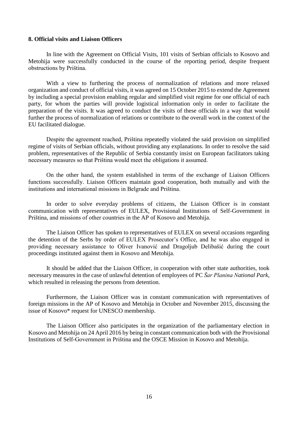### <span id="page-17-0"></span>**8. Official visits and Liaison Officers**

In line with the Agreement on Official Visits, 101 visits of Serbian officials to Kosovo and Metohija were successfully conducted in the course of the reporting period, despite frequent obstructions by Priština.

With a view to furthering the process of normalization of relations and more relaxed organization and conduct of official visits, it was agreed on 15 October 2015 to extend the Agreement by including a special provision enabling regular and simplified visit regime for one official of each party, for whom the parties will provide logistical information only in order to facilitate the preparation of the visits. It was agreed to conduct the visits of these officials in a way that would further the process of normalization of relations or contribute to the overall work in the context of the EU facilitated dialogue.

Despite the agreement reached, Priština repeatedly violated the said provision on simplified regime of visits of Serbian officials, without providing any explanations. In order to resolve the said problem, representatives of the Republic of Serbia constantly insist on European facilitators taking necessary measures so that Priština would meet the obligations it assumed.

On the other hand, the system established in terms of the exchange of Liaison Officers functions successfully. Liaison Officers maintain good cooperation, both mutually and with the institutions and international missions in Belgrade and Priština.

In order to solve everyday problems of citizens, the Liaison Officer is in constant communication with representatives of EULEX, Provisional Institutions of Self-Government in Priština, and missions of other countries in the AP of Kosovo and Metohija.

The Liaison Officer has spoken to representatives of EULEX on several occasions regarding the detention of the Serbs by order of EULEX Prosecutor's Office, and he was also engaged in providing necessary assistance to Oliver Ivanović and Dragoljub Delibašić during the court proceedings instituted against them in Kosovo and Metohija.

It should be added that the Liaison Officer, in cooperation with other state authorities, took necessary measures in the case of unlawful detention of employees of PC *Šar Planina National Park*, which resulted in releasing the persons from detention.

Furthermore, the Liaison Officer was in constant communication with representatives of foreign missions in the AP of Kosovo and Metohija in October and November 2015, discussing the issue of Kosovo\* request for UNESCO membership.

The Liaison Officer also participates in the organization of the parliamentary election in Kosovo and Metohija on 24 April 2016 by being in constant communication both with the Provisional Institutions of Self-Government in Priština and the OSCE Mission in Kosovo and Metohija.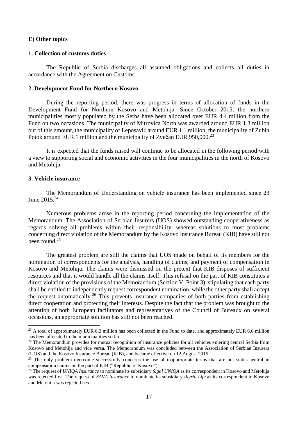#### <span id="page-18-0"></span>**E) Other topics**

#### <span id="page-18-1"></span>**1. Collection of customs duties**

The Republic of Serbia discharges all assumed obligations and collects all duties in accordance with the Agreement on Customs.

#### <span id="page-18-2"></span>**2. Development Fund for Northern Kosovo**

During the reporting period, there was progress in terms of allocation of funds in the Development Fund for Northern Kosovo and Metohija. Since October 2015, the northern municipalities mostly populated by the Serbs have been allocated over EUR 4.4 million from the Fund on two occasions. The municipality of Mitrovica North was awarded around EUR 1.3 million out of this amount, the municipality of Leposavić around EUR 1.1 million, the municipality of Zubin Potok around EUR 1 million and the municipality of Zvečan EUR 950,000.<sup>23</sup>

It is expected that the funds raised will continue to be allocated in the following period with a view to supporting social and economic activities in the four municipalities in the north of Kosovo and Metohija.

# <span id="page-18-3"></span>**3. Vehicle insurance**

1

The Memorandum of Understanding on vehicle insurance has been implemented since 23 June 2015. 24

Numerous problems arose in the reporting period concerning the implementation of the Memorandum. The Association of Serbian Insurers (UOS) showed outstanding cooperativeness as regards solving all problems within their responsibility, whereas solutions to most problems concerning direct violation of the Memorandum by the Kosovo Insurance Bureau (KIB) have still not been found.<sup>25</sup>

The greatest problem are still the claims that UOS made on behalf of its members for the nomination of correspondents for the analysis, handling of claims, and payment of compensation in Kosovo and Metohija. The claims were dismissed on the pretext that KIB disposes of sufficient resources and that it would handle all the claims itself. This refusal on the part of KIB constitutes a direct violation of the provisions of the Memorandum (Section V, Point 3), stipulating that each party shall be entitled to independently request correspondent nomination, while the other party shall accept the request automatically.<sup>26</sup> This prevents insurance companies of both parties from establishing direct cooperation and protecting their interests. Despite the fact that the problem was brought to the attention of both European facilitators and representatives of the Council of Bureaux on several occasions, an appropriate solution has still not been reached.

 $^{23}$  A total of approximately EUR 8.3 million has been collected in the Fund to date, and approximately EUR 6.6 million has been allocated to the municipalities so far.

 $24$  The Memorandum provides for mutual recognition of insurance policies for all vehicles entering central Serbia from Kosovo and Metohija and vice versa. The Memorandum was concluded between the Association of Serbian Insurers (UOS) and the Kosovo Insurance Bureau (KIB), and became effective on 12 August 2015.

 $25$  The only problem overcome successfully concerns the use of inappropriate terms that are not status-neutral in compensation claims on the part of KIB ("Republic of Kosovo").

<sup>&</sup>lt;sup>26</sup> The request of *UNIQA Insurance* to nominate its subsidiary *Sigal UNIQA* as its correspondent in Kosovo and Metohija was rejected first. The request of *SAVA Insurance* to nominate its subsidiary *Illyria Life* as its correspondent in Kosovo and Metohija was rejected next.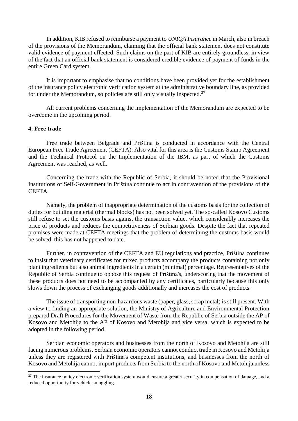In addition, KIB refused to reimburse a payment to *UNIQA Insurance* in March, also in breach of the provisions of the Memorandum, claiming that the official bank statement does not constitute valid evidence of payment effected. Such claims on the part of KIB are entirely groundless, in view of the fact that an official bank statement is considered credible evidence of payment of funds in the entire Green Card system.

It is important to emphasise that no conditions have been provided yet for the establishment of the insurance policy electronic verification system at the administrative boundary line, as provided for under the Memorandum, so policies are still only visually inspected.<sup>27</sup>

All current problems concerning the implementation of the Memorandum are expected to be overcome in the upcoming period.

### <span id="page-19-0"></span>**4. Free trade**

1

Free trade between Belgrade and Priština is conducted in accordance with the Central European Free Trade Agreement (CEFTA). Also vital for this area is the Customs Stamp Agreement and the Technical Protocol on the Implementation of the IBM, as part of which the Customs Agreement was reached, as well.

Concerning the trade with the Republic of Serbia, it should be noted that the Provisional Institutions of Self-Government in Priština continue to act in contravention of the provisions of the CEFTA.

Namely, the problem of inappropriate determination of the customs basis for the collection of duties for building material (thermal blocks) has not been solved yet. The so-called Kosovo Customs still refuse to set the customs basis against the transaction value, which considerably increases the price of products and reduces the competitiveness of Serbian goods. Despite the fact that repeated promises were made at CEFTA meetings that the problem of determining the customs basis would be solved, this has not happened to date.

Further, in contravention of the CEFTA and EU regulations and practice, Priština continues to insist that veterinary certificates for mixed products accompany the products containing not only plant ingredients but also animal ingredients in a certain (minimal) percentage. Representatives of the Republic of Serbia continue to oppose this request of Priština's, underscoring that the movement of these products does not need to be accompanied by any certificates, particularly because this only slows down the process of exchanging goods additionally and increases the cost of products.

The issue of transporting non-hazardous waste (paper, glass, scrap metal) is still present. With a view to finding an appropriate solution, the Ministry of Agriculture and Environmental Protection prepared Draft Procedures for the Movement of Waste from the Republic of Serbia outside the AP of Kosovo and Metohija to the AP of Kosovo and Metohija and vice versa, which is expected to be adopted in the following period.

Serbian economic operators and businesses from the north of Kosovo and Metohija are still facing numerous problems. Serbian economic operators cannot conduct trade in Kosovo and Metohija unless they are registered with Priština's competent institutions, and businesses from the north of Kosovo and Metohija cannot import products from Serbia to the north of Kosovo and Metohija unless

 $27$  The insurance policy electronic verification system would ensure a greater security in compensation of damage, and a reduced opportunity for vehicle smuggling.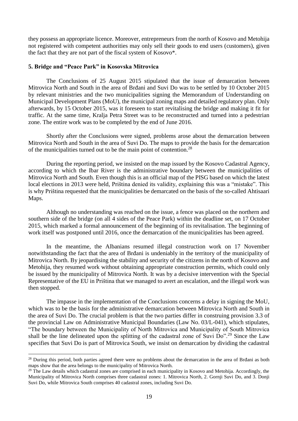they possess an appropriate licence. Moreover, entrepreneurs from the north of Kosovo and Metohija not registered with competent authorities may only sell their goods to end users (customers), given the fact that they are not part of the fiscal system of Kosovo\*.

#### <span id="page-20-0"></span>**5. Bridge and "Peace Park" in Kosovska Mitrovica**

The Conclusions of 25 August 2015 stipulated that the issue of demarcation between Mitrovica North and South in the area of Brđani and Suvi Do was to be settled by 10 October 2015 by relevant ministries and the two municipalities signing the Memorandum of Understanding on Municipal Development Plans (MoU), the municipal zoning maps and detailed regulatory plan. Only afterwards, by 15 October 2015, was it foreseen to start revitalising the bridge and making it fit for traffic. At the same time, Kralja Petra Street was to be reconstructed and turned into a pedestrian zone. The entire work was to be completed by the end of June 2016.

Shortly after the Conclusions were signed, problems arose about the demarcation between Mitrovica North and South in the area of Suvi Do. The maps to provide the basis for the demarcation of the municipalities turned out to be the main point of contention.<sup>28</sup>

During the reporting period, we insisted on the map issued by the Kosovo Cadastral Agency, according to which the Ibar River is the administrative boundary between the municipalities of Mitrovica North and South. Even though this is an official map of the PISG based on which the latest local elections in 2013 were held, Priština denied its validity, explaining this was a "mistake". This is why Priština requested that the municipalities be demarcated on the basis of the so-called Ahtisaari Maps.

Although no understanding was reached on the issue, a fence was placed on the northern and southern side of the bridge (on all 4 sides of the Peace Park) within the deadline set, on 17 October 2015, which marked a formal announcement of the beginning of its revitalisation. The beginning of work itself was postponed until 2016, once the demarcation of the municipalities has been agreed.

In the meantime, the Albanians resumed illegal construction work on 17 November notwithstanding the fact that the area of Brđani is undeniably in the territory of the municipality of Mitrovica North. By jeopardising the stability and security of the citizens in the north of Kosovo and Metohija, they resumed work without obtaining appropriate construction permits, which could only be issued by the municipality of Mitrovica North. It was by a decisive intervention with the Special Representative of the EU in Priština that we managed to avert an escalation, and the illegal work was then stopped.

The impasse in the implementation of the Conclusions concerns a delay in signing the MoU, which was to be the basis for the administrative demarcation between Mitrovica North and South in the area of Suvi Do. The crucial problem is that the two parties differ in construing provision 3.3 of the provincial Law on Administrative Municipal Boundaries (Law No. 03/L-041), which stipulates, "The boundary between the Municipality of North Mitrovica and Municipality of South Mitrovica shall be the line delineated upon the splitting of the cadastral zone of Suvi Do".<sup>29</sup> Since the Law specifies that Suvi Do is part of Mitrovica South, we insist on demarcation by dividing the cadastral

1

<sup>&</sup>lt;sup>28</sup> During this period, both parties agreed there were no problems about the demarcation in the area of Brđani as both maps show that the area belongs to the municipality of Mitrovica North.

 $29$  The Law details which cadastral zones are comprised in each municipality in Kosovo and Metohija. Accordingly, the Municipality of Mitrovica North comprises three cadastral zones: 1. Mitrovica North, 2. Gornji Suvi Do, and 3. Donji Suvi Do, while Mitrovica South comprises 40 cadastral zones, including Suvi Do.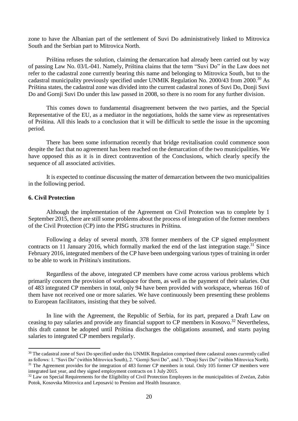zone to have the Albanian part of the settlement of Suvi Do administratively linked to Mitrovica South and the Serbian part to Mitrovica North.

Priština refuses the solution, claiming the demarcation had already been carried out by way of passing Law No. 03/L-041. Namely, Priština claims that the term "Suvi Do" in the Law does not refer to the cadastral zone currently bearing this name and belonging to Mitrovica South, but to the cadastral municipality previously specified under UNMIK Regulation No. 2000/43 from 2000.<sup>30</sup> As Priština states, the cadastral zone was divided into the current cadastral zones of Suvi Do, Donji Suvi Do and Gornji Suvi Do under this law passed in 2008, so there is no room for any further division.

This comes down to fundamental disagreement between the two parties, and the Special Representative of the EU, as a mediator in the negotiations, holds the same view as representatives of Priština. All this leads to a conclusion that it will be difficult to settle the issue in the upcoming period.

There has been some information recently that bridge revitalisation could commence soon despite the fact that no agreement has been reached on the demarcation of the two municipalities. We have opposed this as it is in direct contravention of the Conclusions, which clearly specify the sequence of all associated activities.

It is expected to continue discussing the matter of demarcation between the two municipalities in the following period.

#### <span id="page-21-0"></span>**6. Civil Protection**

-

Although the implementation of the Agreement on Civil Protection was to complete by 1 September 2015, there are still some problems about the process of integration of the former members of the Civil Protection (CP) into the PISG structures in Priština.

Following a delay of several month, 378 former members of the CP signed employment contracts on 11 January 2016, which formally marked the end of the last integration stage.<sup>31</sup> Since February 2016, integrated members of the CP have been undergoing various types of training in order to be able to work in Priština's institutions.

Regardless of the above, integrated CP members have come across various problems which primarily concern the provision of workspace for them, as well as the payment of their salaries. Out of 483 integrated CP members in total, only 94 have been provided with workspace, whereas 160 of them have not received one or more salaries. We have continuously been presenting these problems to European facilitators, insisting that they be solved.

In line with the Agreement, the Republic of Serbia, for its part, prepared a Draft Law on ceasing to pay salaries and provide any financial support to CP members in Kosovo.<sup>32</sup> Nevertheless, this draft cannot be adopted until Priština discharges the obligations assumed, and starts paying salaries to integrated CP members regularly.

<sup>&</sup>lt;sup>30</sup> The cadastral zone of Suvi Do specified under this UNMIK Regulation comprised three cadastral zones currently called as follows: 1. "Suvi Do" (within Mitrovica South), 2. "Gornji Suvi Do", and 3. "Donji Suvi Do" (within Mitrovica North). <sup>31</sup> The Agreement provides for the integration of 483 former CP members in total. Only 105 former CP members were integrated last year, and they signed employment contracts on 1 July 2015.

<sup>&</sup>lt;sup>32</sup> Law on Special Requirements for the Eligibility of Civil Protection Employees in the municipalities of Zvečan, Zubin Potok, Kosovska Mitrovica and Leposavić to Pension and Health Insurance.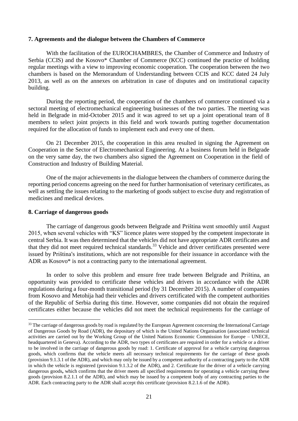#### <span id="page-22-0"></span>**7. Agreements and the dialogue between the Chambers of Commerce**

With the facilitation of the EUROCHAMBRES, the Chamber of Commerce and Industry of Serbia (CCIS) and the Kosovo\* Chamber of Commerce (KCC) continued the practice of holding regular meetings with a view to improving economic cooperation. The cooperation between the two chambers is based on the Memorandum of Understanding between CCIS and KCC dated 24 July 2013, as well as on the annexes on arbitration in case of disputes and on institutional capacity building.

During the reporting period, the cooperation of the chambers of commerce continued via a sectoral meeting of electromechanical engineering businesses of the two parties. The meeting was held in Belgrade in mid-October 2015 and it was agreed to set up a joint operational team of 8 members to select joint projects in this field and work towards putting together documentation required for the allocation of funds to implement each and every one of them.

On 21 December 2015, the cooperation in this area resulted in signing the Agreement on Cooperation in the Sector of Electromechanical Engineering. At a business forum held in Belgrade on the very same day, the two chambers also signed the Agreement on Cooperation in the field of Construction and Industry of Building Material.

One of the major achievements in the dialogue between the chambers of commerce during the reporting period concerns agreeing on the need for further harmonisation of veterinary certificates, as well as settling the issues relating to the marketing of goods subject to excise duty and registration of medicines and medical devices.

#### <span id="page-22-1"></span>**8. Carriage of dangerous goods**

1

The carriage of dangerous goods between Belgrade and Priština went smoothly until August 2015, when several vehicles with "KS" licence plates were stopped by the competent inspectorate in central Serbia. It was then determined that the vehicles did not have appropriate ADR certificates and that they did not meet required technical standards.<sup>33</sup> Vehicle and driver certificates presented were issued by Priština's institutions, which are not responsible for their issuance in accordance with the ADR as Kosovo\* is not a contracting party to the international agreement.

In order to solve this problem and ensure free trade between Belgrade and Priština, an opportunity was provided to certificate these vehicles and drivers in accordance with the ADR regulations during a four-month transitional period (by 31 December 2015). A number of companies from Kosovo and Metohija had their vehicles and drivers certificated with the competent authorities of the Republic of Serbia during this time. However, some companies did not obtain the required certificates either because the vehicles did not meet the technical requirements for the carriage of

<sup>&</sup>lt;sup>33</sup> The carriage of dangerous goods by road is regulated by the European Agreement concerning the International Carriage of Dangerous Goods by Road (ADR), the depositary of which is the United Nations Organisation (associated technical activities are carried out by the Working Group of the United Nations Economic Commission for Europe – UNECE, headquartered in Geneva). According to the ADR, two types of certificates are required in order for a vehicle or a driver to be involved in the carriage of dangerous goods by road: 1. Certificate of approval for a vehicle carrying dangerous goods, which confirms that the vehicle meets all necessary technical requirements for the carriage of these goods (provision 9.1.3.1 of the ADR), and which may only be issued by a competent authority of a contracting party to the ADR in which the vehicle is registered (provision 9.1.3.2 of the ADR), and 2. Certificate for the driver of a vehicle carrying dangerous goods**,** which confirms that the driver meets all specified requirements for operating a vehicle carrying these goods (provision 8.2.1.1 of the ADR), and which may be issued by a competent body of any contracting parties to the ADR. Each contracting party to the ADR shall accept this certificate (provision 8.2.1.6 of the ADR).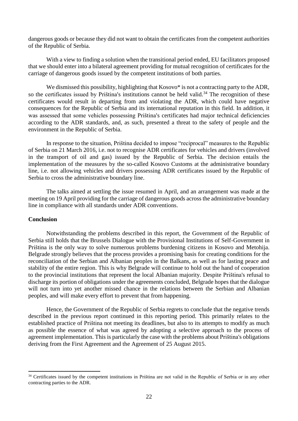dangerous goods or because they did not want to obtain the certificates from the competent authorities of the Republic of Serbia.

With a view to finding a solution when the transitional period ended, EU facilitators proposed that we should enter into a bilateral agreement providing for mutual recognition of certificates for the carriage of dangerous goods issued by the competent institutions of both parties.

We dismissed this possibility, highlighting that Kosovo\* is not a contracting party to the ADR, so the certificates issued by Priština's institutions cannot be held valid.<sup>34</sup> The recognition of these certificates would result in departing from and violating the ADR, which could have negative consequences for the Republic of Serbia and its international reputation in this field. In addition, it was assessed that some vehicles possessing Priština's certificates had major technical deficiencies according to the ADR standards, and, as such, presented a threat to the safety of people and the environment in the Republic of Serbia.

In response to the situation, Priština decided to impose "reciprocal" measures to the Republic of Serbia on 21 March 2016, i.e. not to recognise ADR certificates for vehicles and drivers (involved in the transport of oil and gas) issued by the Republic of Serbia. The decision entails the implementation of the measures by the so-called Kosovo Customs at the administrative boundary line, i.e. not allowing vehicles and drivers possessing ADR certificates issued by the Republic of Serbia to cross the administrative boundary line.

The talks aimed at settling the issue resumed in April, and an arrangement was made at the meeting on 19 April providing for the carriage of dangerous goods across the administrative boundary line in compliance with all standards under ADR conventions.

#### <span id="page-23-0"></span>**Conclusion**

1

Notwithstanding the problems described in this report, the Government of the Republic of Serbia still holds that the Brussels Dialogue with the Provisional Institutions of Self-Government in Priština is the only way to solve numerous problems burdening citizens in Kosovo and Metohija. Belgrade strongly believes that the process provides a promising basis for creating conditions for the reconciliation of the Serbian and Albanian peoples in the Balkans, as well as for lasting peace and stability of the entire region. This is why Belgrade will continue to hold out the hand of cooperation to the provincial institutions that represent the local Albanian majority. Despite Priština's refusal to discharge its portion of obligations under the agreements concluded, Belgrade hopes that the dialogue will not turn into yet another missed chance in the relations between the Serbian and Albanian peoples, and will make every effort to prevent that from happening.

Hence, the Government of the Republic of Serbia regrets to conclude that the negative trends described in the previous report continued in this reporting period. This primarily relates to the established practice of Priština not meeting its deadlines, but also to its attempts to modify as much as possible the essence of what was agreed by adopting a selective approach to the process of agreement implementation. This is particularly the case with the problems about Priština's obligations deriving from the First Agreement and the Agreement of 25 August 2015.

<sup>&</sup>lt;sup>34</sup> Certificates issued by the competent institutions in Priština are not valid in the Republic of Serbia or in any other contracting parties to the ADR.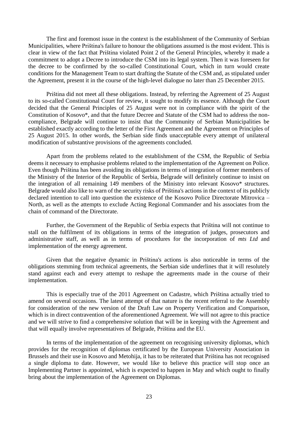The first and foremost issue in the context is the establishment of the Community of Serbian Municipalities, where Priština's failure to honour the obligations assumed is the most evident. This is clear in view of the fact that Priština violated Point 2 of the General Principles, whereby it made a commitment to adopt a Decree to introduce the CSM into its legal system. Then it was foreseen for the decree to be confirmed by the so-called Constitutional Court, which in turn would create conditions for the Management Team to start drafting the Statute of the CSM and, as stipulated under the Agreement, present it in the course of the high-level dialogue no later than 25 December 2015.

Priština did not meet all these obligations. Instead, by referring the Agreement of 25 August to its so-called Constitutional Court for review, it sought to modify its essence. Although the Court decided that the General Principles of 25 August were not in compliance with the spirit of the Constitution of Kosovo\*, and that the future Decree and Statute of the CSM had to address the noncompliance, Belgrade will continue to insist that the Community of Serbian Municipalities be established exactly according to the letter of the First Agreement and the Agreement on Principles of 25 August 2015. In other words, the Serbian side finds unacceptable every attempt of unilateral modification of substantive provisions of the agreements concluded.

Apart from the problems related to the establishment of the CSM, the Republic of Serbia deems it necessary to emphasise problems related to the implementation of the Agreement on Police. Even though Priština has been avoiding its obligations in terms of integration of former members of the Ministry of the Interior of the Republic of Serbia, Belgrade will definitely continue to insist on the integration of all remaining 149 members of the Ministry into relevant Kosovo\* structures. Belgrade would also like to warn of the security risks of Priština's actions in the context of its publicly declared intention to call into question the existence of the Kosovo Police Directorate Mitrovica – North, as well as the attempts to exclude Acting Regional Commander and his associates from the chain of command of the Directorate.

Further, the Government of the Republic of Serbia expects that Priština will not continue to stall on the fulfilment of its obligations in terms of the integration of judges, prosecutors and administrative staff, as well as in terms of procedures for the incorporation of *mts Ltd* and implementation of the energy agreement.

Given that the negative dynamic in Priština's actions is also noticeable in terms of the obligations stemming from technical agreements, the Serbian side underlines that it will resolutely stand against each and every attempt to reshape the agreements made in the course of their implementation.

This is especially true of the 2011 Agreement on Cadastre, which Priština actually tried to amend on several occasions. The latest attempt of that nature is the recent referral to the Assembly for consideration of the new version of the Draft Law on Property Verification and Comparison, which is in direct contravention of the aforementioned Agreement. We will not agree to this practice and we will strive to find a comprehensive solution that will be in keeping with the Agreement and that will equally involve representatives of Belgrade, Priština and the EU.

In terms of the implementation of the agreement on recognising university diplomas, which provides for the recognition of diplomas certificated by the European University Association in Brussels and their use in Kosovo and Metohija, it has to be reiterated that Priština has not recognised a single diploma to date. However, we would like to believe this practice will stop once an Implementing Partner is appointed, which is expected to happen in May and which ought to finally bring about the implementation of the Agreement on Diplomas.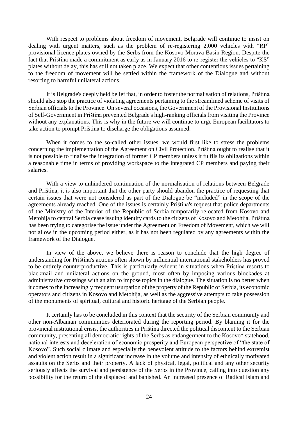With respect to problems about freedom of movement, Belgrade will continue to insist on dealing with urgent matters, such as the problem of re-registering 2,000 vehicles with "RP" provisional licence plates owned by the Serbs from the Kosovo Morava Basin Region. Despite the fact that Priština made a commitment as early as in January 2016 to re-register the vehicles to "KS" plates without delay, this has still not taken place. We expect that other contentious issues pertaining to the freedom of movement will be settled within the framework of the Dialogue and without resorting to harmful unilateral actions.

It is Belgrade's deeply held belief that, in order to foster the normalisation of relations, Priština should also stop the practice of violating agreements pertaining to the streamlined scheme of visits of Serbian officials to the Province. On several occasions, the Government of the Provisional Institutions of Self-Government in Priština prevented Belgrade's high-ranking officials from visiting the Province without any explanations. This is why in the future we will continue to urge European facilitators to take action to prompt Priština to discharge the obligations assumed.

When it comes to the so-called other issues, we would first like to stress the problems concerning the implementation of the Agreement on Civil Protection. Priština ought to realise that it is not possible to finalise the integration of former CP members unless it fulfils its obligations within a reasonable time in terms of providing workspace to the integrated CP members and paying their salaries.

With a view to unhindered continuation of the normalisation of relations between Belgrade and Priština, it is also important that the other party should abandon the practice of requesting that certain issues that were not considered as part of the Dialogue be "included" in the scope of the agreements already reached. One of the issues is certainly Priština's request that police departments of the Ministry of the Interior of the Republic of Serbia temporarily relocated from Kosovo and Metohija to central Serbia cease issuing identity cards to the citizens of Kosovo and Metohija. Priština has been trying to categorise the issue under the Agreement on Freedom of Movement, which we will not allow in the upcoming period either, as it has not been regulated by any agreements within the framework of the Dialogue.

In view of the above, we believe there is reason to conclude that the high degree of understanding for Priština's actions often shown by influential international stakeholders has proved to be entirely counterproductive. This is particularly evident in situations when Priština resorts to blackmail and unilateral actions on the ground, most often by imposing various blockades at administrative crossings with an aim to impose topics in the dialogue. The situation is no better when it comes to the increasingly frequent usurpation of the property of the Republic of Serbia, its economic operators and citizens in Kosovo and Metohija, as well as the aggressive attempts to take possession of the monuments of spiritual, cultural and historic heritage of the Serbian people.

It certainly has to be concluded in this context that the security of the Serbian community and other non-Albanian communities deteriorated during the reporting period. By blaming it for the provincial institutional crisis, the authorities in Priština directed the political discontent to the Serbian community, presenting all democratic rights of the Serbs as endangerment to the Kosovo\* statehood, national interests and deceleration of economic prosperity and European perspective of "the state of Kosovo". Such social climate and especially the benevolent attitude to the factors behind extremist and violent action result in a significant increase in the volume and intensity of ethnically motivated assaults on the Serbs and their property. A lack of physical, legal, political and any other security seriously affects the survival and persistence of the Serbs in the Province, calling into question any possibility for the return of the displaced and banished. An increased presence of Radical Islam and